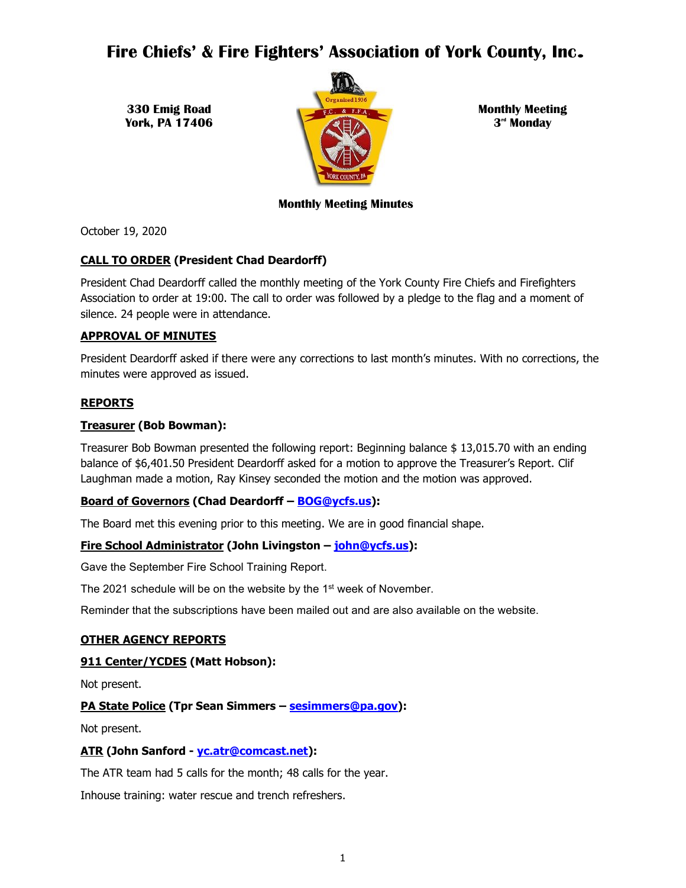# **Fire Chiefs' & Fire Fighters' Association of York County, Inc**.

**330 Emig Road York, PA 17406**



**Monthly Meeting 3 rd Monday**

# **Monthly Meeting Minutes**

October 19, 2020

# **CALL TO ORDER (President Chad Deardorff)**

President Chad Deardorff called the monthly meeting of the York County Fire Chiefs and Firefighters Association to order at 19:00. The call to order was followed by a pledge to the flag and a moment of silence. 24 people were in attendance.

# **APPROVAL OF MINUTES**

President Deardorff asked if there were any corrections to last month's minutes. With no corrections, the minutes were approved as issued.

# **REPORTS**

# **Treasurer (Bob Bowman):**

Treasurer Bob Bowman presented the following report: Beginning balance \$ 13,015.70 with an ending balance of \$6,401.50 President Deardorff asked for a motion to approve the Treasurer's Report. Clif Laughman made a motion, Ray Kinsey seconded the motion and the motion was approved.

# **Board of Governors (Chad Deardorff – [BOG@ycfs.us\)](mailto:BOG@ycfs.us):**

The Board met this evening prior to this meeting. We are in good financial shape.

# **Fire School Administrator (John Livingston – [john@ycfs.us\)](mailto:john@ycfs.us):**

Gave the September Fire School Training Report.

The 2021 schedule will be on the website by the 1<sup>st</sup> week of November.

Reminder that the subscriptions have been mailed out and are also available on the website.

# **OTHER AGENCY REPORTS**

# **911 Center/YCDES (Matt Hobson):**

Not present.

# **PA State Police (Tpr Sean Simmers – [sesimmers@pa.gov\)](mailto:sesimmers@pa.gov):**

Not present.

# **ATR (John Sanford - [yc.atr@comcast.net\)](mailto:yc.atr@comcast.net):**

The ATR team had 5 calls for the month; 48 calls for the year.

Inhouse training: water rescue and trench refreshers.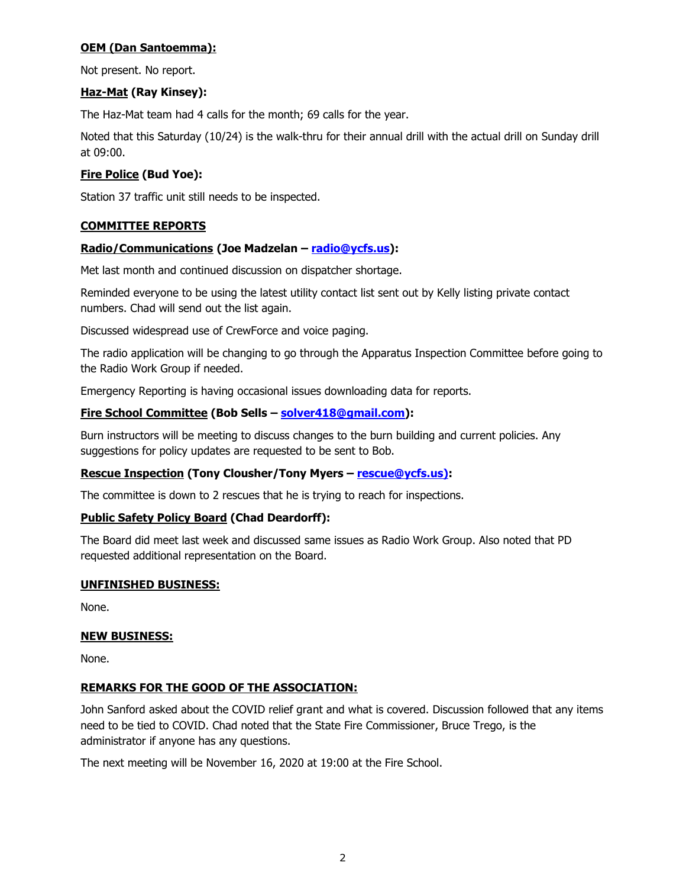# **OEM (Dan Santoemma):**

Not present. No report.

# **Haz-Mat (Ray Kinsey):**

The Haz-Mat team had 4 calls for the month; 69 calls for the year.

Noted that this Saturday (10/24) is the walk-thru for their annual drill with the actual drill on Sunday drill at 09:00.

# **Fire Police (Bud Yoe):**

Station 37 traffic unit still needs to be inspected.

# **COMMITTEE REPORTS**

# **Radio/Communications (Joe Madzelan – [radio@ycfs.us\)](mailto:radio@ycfs.us):**

Met last month and continued discussion on dispatcher shortage.

Reminded everyone to be using the latest utility contact list sent out by Kelly listing private contact numbers. Chad will send out the list again.

Discussed widespread use of CrewForce and voice paging.

The radio application will be changing to go through the Apparatus Inspection Committee before going to the Radio Work Group if needed.

Emergency Reporting is having occasional issues downloading data for reports.

# **Fire School Committee (Bob Sells – [solver418@gmail.com\)](mailto:solver418@gmail.com):**

Burn instructors will be meeting to discuss changes to the burn building and current policies. Any suggestions for policy updates are requested to be sent to Bob.

# **Rescue Inspection (Tony Clousher/Tony Myers – rescue@ycfs.us):**

The committee is down to 2 rescues that he is trying to reach for inspections.

# **Public Safety Policy Board (Chad Deardorff):**

The Board did meet last week and discussed same issues as Radio Work Group. Also noted that PD requested additional representation on the Board.

# **UNFINISHED BUSINESS:**

None.

# **NEW BUSINESS:**

None.

# **REMARKS FOR THE GOOD OF THE ASSOCIATION:**

John Sanford asked about the COVID relief grant and what is covered. Discussion followed that any items need to be tied to COVID. Chad noted that the State Fire Commissioner, Bruce Trego, is the administrator if anyone has any questions.

The next meeting will be November 16, 2020 at 19:00 at the Fire School.